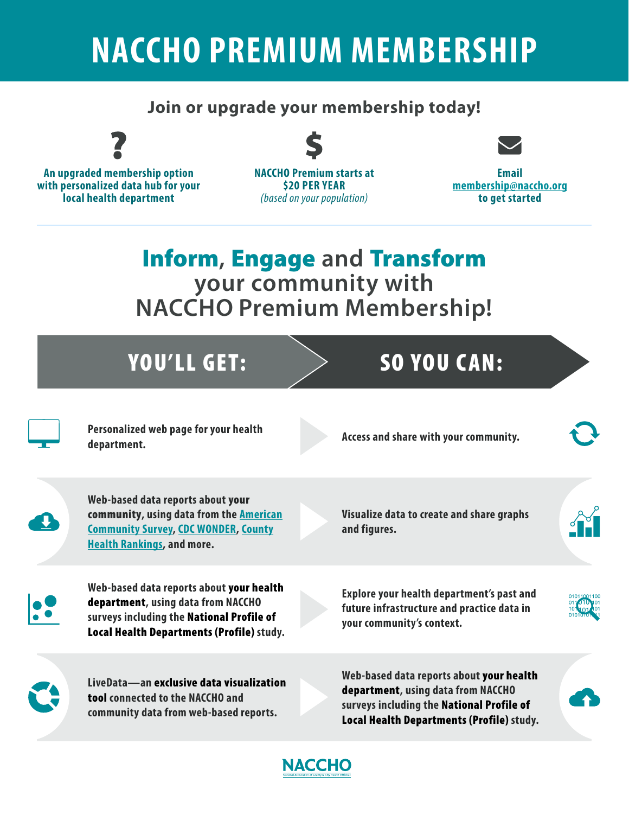## **NACCHO PREMIUM MEMBERSHIP**

## **Join or upgrade your membership today!**